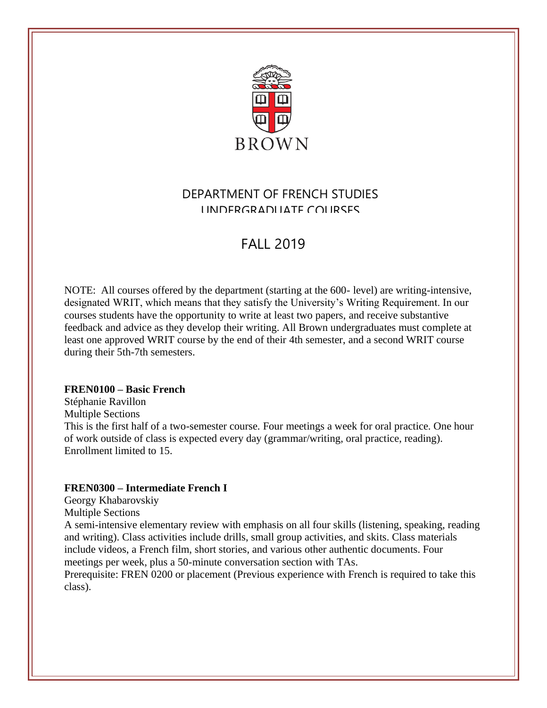

## DEPARTMENT OF FRENCH STUDIES UNDERGRADUATE COURSES

# **FALL 2019**

NOTE: All courses offered by the department (starting at the 600- level) are writing-intensive, designated WRIT, which means that they satisfy the University's Writing Requirement. In our courses students have the opportunity to write at least two papers, and receive substantive feedback and advice as they develop their writing. All Brown undergraduates must complete at least one approved WRIT course by the end of their 4th semester, and a second WRIT course during their 5th-7th semesters.

## **FREN0100 – Basic French**

Stéphanie Ravillon Multiple Sections This is the first half of a two-semester course. Four meetings a week for oral practice. One hour of work outside of class is expected every day (grammar/writing, oral practice, reading). Enrollment limited to 15.

## **FREN0300 – Intermediate French I**

Georgy Khabarovskiy

Multiple Sections

A semi-intensive elementary review with emphasis on all four skills (listening, speaking, reading and writing). Class activities include drills, small group activities, and skits. Class materials include videos, a French film, short stories, and various other authentic documents. Four meetings per week, plus a 50-minute conversation section with TAs.

Prerequisite: [FREN](https://cab.brown.edu/search/?p=FREN%200200) 0200 or placement (Previous experience with French is required to take this class).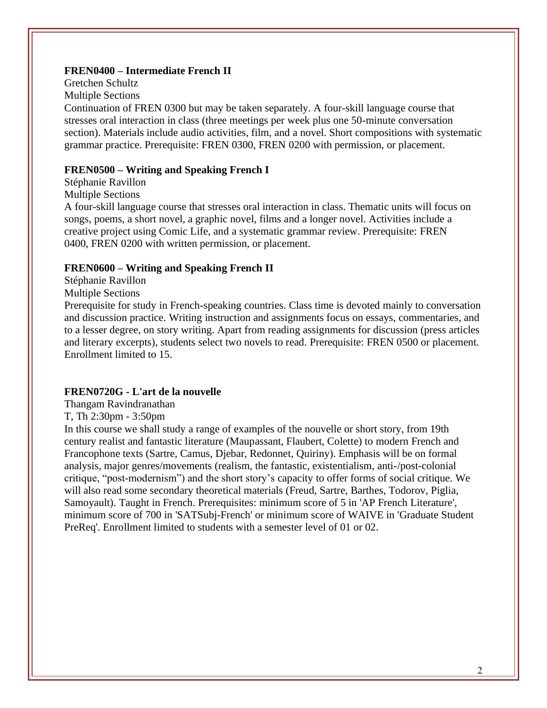## **FREN0400 – Intermediate French II**

Gretchen Schultz Multiple Sections Continuation of [FREN 0300](https://cab.brown.edu/search/?p=FREN%200300) but may be taken separately. A four-skill language course that stresses oral interaction in class (three meetings per week plus one 50-minute conversation section). Materials include audio activities, film, and a novel. Short compositions with systematic grammar practice. Prerequisite: [FREN 0300,](https://cab.brown.edu/search/?p=FREN%200300) [FREN 0200](https://cab.brown.edu/search/?p=FREN%200200) with permission, or placement.

### **FREN0500 – Writing and Speaking French I**

Stéphanie Ravillon

Multiple Sections

A four-skill language course that stresses oral interaction in class. Thematic units will focus on songs, poems, a short novel, a graphic novel, films and a longer novel. Activities include a creative project using Comic Life, and a systematic grammar review. Prerequisite: [FREN](https://cab.brown.edu/search/?p=FREN%200400)  [0400,](https://cab.brown.edu/search/?p=FREN%200400) [FREN 0200](https://cab.brown.edu/search/?p=FREN%200200) with written permission, or placement.

#### **FREN0600 – Writing and Speaking French II**

[Stéphanie](https://cab.brown.edu/) Ravillon

Multiple Sections

Prerequisite for study in French-speaking countries. Class time is devoted mainly to conversation and discussion practice. Writing instruction and assignments focus on essays, commentaries, and to a lesser degree, on story writing. Apart from reading assignments for discussion (press articles and literary excerpts), students select two novels to read. Prerequisite: [FREN 0500](https://cab.brown.edu/search/?p=FREN%200500) or placement. Enrollment limited to 15.

#### **FREN0720G - L'art de la nouvelle**

[Thangam Ravindranathan](https://cab.brown.edu/)

T, Th 2:30pm - 3:50pm

In this course we shall study a range of examples of the nouvelle or short story, from 19th century realist and fantastic literature (Maupassant, Flaubert, Colette) to modern French and Francophone texts (Sartre, Camus, Djebar, Redonnet, Quiriny). Emphasis will be on formal analysis, major genres/movements (realism, the fantastic, existentialism, anti-/post-colonial critique, "post-modernism") and the short story's capacity to offer forms of social critique. We will also read some secondary theoretical materials (Freud, Sartre, Barthes, Todorov, Piglia, Samoyault). Taught in French. Prerequisites: minimum score of 5 in 'AP French Literature', minimum score of 700 in 'SATSubj-French' or minimum score of WAIVE in 'Graduate Student PreReq'. Enrollment limited to students with a semester level of 01 or 02.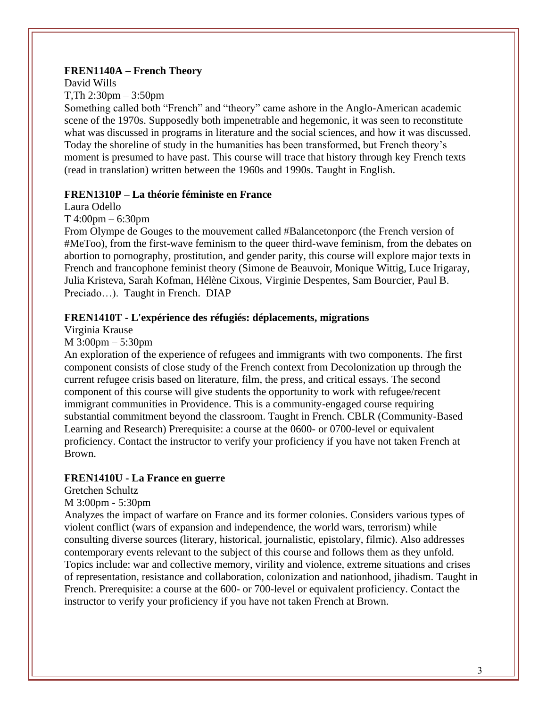## **FREN1140A – French Theory**

David Wills

## T,Th 2:30pm – 3:50pm

Something called both "French" and "theory" came ashore in the Anglo-American academic scene of the 1970s. Supposedly both impenetrable and hegemonic, it was seen to reconstitute what was discussed in programs in literature and the social sciences, and how it was discussed. Today the shoreline of study in the humanities has been transformed, but French theory's moment is presumed to have past. This course will trace that history through key French texts (read in translation) written between the 1960s and 1990s. Taught in English.

## **FREN1310P – La théorie féministe en France**

Laura Odello

T 4:00pm – 6:30pm

From Olympe de Gouges to the mouvement called #Balancetonporc (the French version of #MeToo), from the first-wave feminism to the queer third-wave feminism, from the debates on abortion to pornography, prostitution, and gender parity, this course will explore major texts in French and francophone feminist theory (Simone de Beauvoir, Monique Wittig, Luce Irigaray, Julia Kristeva, Sarah Kofman, Hélène Cixous, Virginie Despentes, Sam Bourcier, Paul B. Preciado…). Taught in French. DIAP

## **FREN1410T - L'expérience des réfugiés: déplacements, migrations**

Virginia Krause

## M 3:00pm – 5:30pm

An exploration of the experience of refugees and immigrants with two components. The first component consists of close study of the French context from Decolonization up through the current refugee crisis based on literature, film, the press, and critical essays. The second component of this course will give students the opportunity to work with refugee/recent immigrant communities in Providence. This is a community-engaged course requiring substantial commitment beyond the classroom. Taught in French. CBLR (Community-Based Learning and Research) Prerequisite: a course at the 0600- or 0700-level or equivalent proficiency. Contact the instructor to verify your proficiency if you have not taken French at Brown.

## **FREN1410U - La France en guerre**

Gretchen Schultz

## M 3:00pm - 5:30pm

Analyzes the impact of warfare on France and its former colonies. Considers various types of violent conflict (wars of expansion and independence, the world wars, terrorism) while consulting diverse sources (literary, historical, journalistic, epistolary, filmic). Also addresses contemporary events relevant to the subject of this course and follows them as they unfold. Topics include: war and collective memory, virility and violence, extreme situations and crises of representation, resistance and collaboration, colonization and nationhood, jihadism. Taught in French. Prerequisite: a course at the 600- or 700-level or equivalent proficiency. Contact the instructor to verify your proficiency if you have not taken French at Brown.